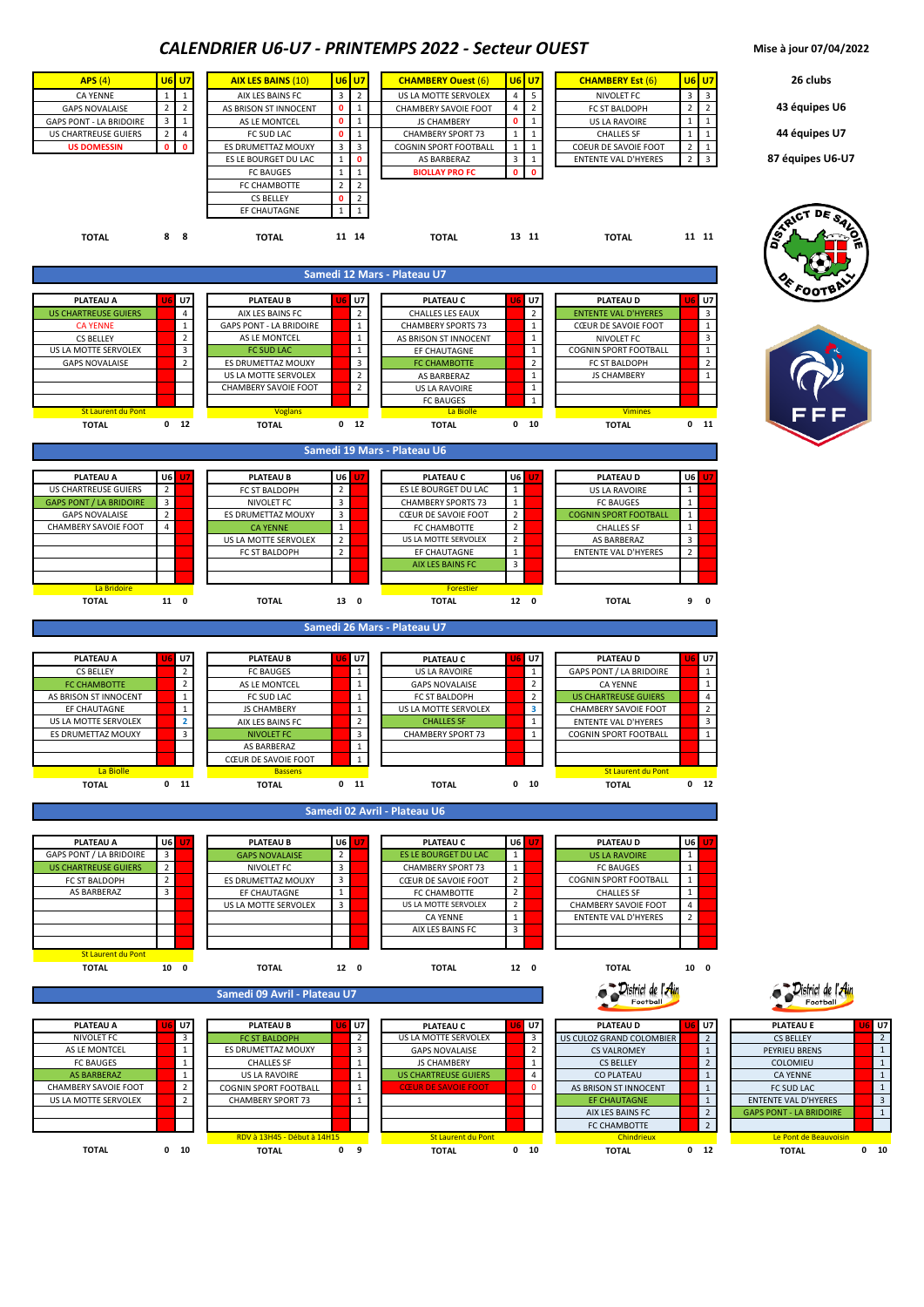## *CALENDRIER U6-U7 - PRINTEMPS 2022 - Secteur OUEST* **Mise à jour 07/04/2022**